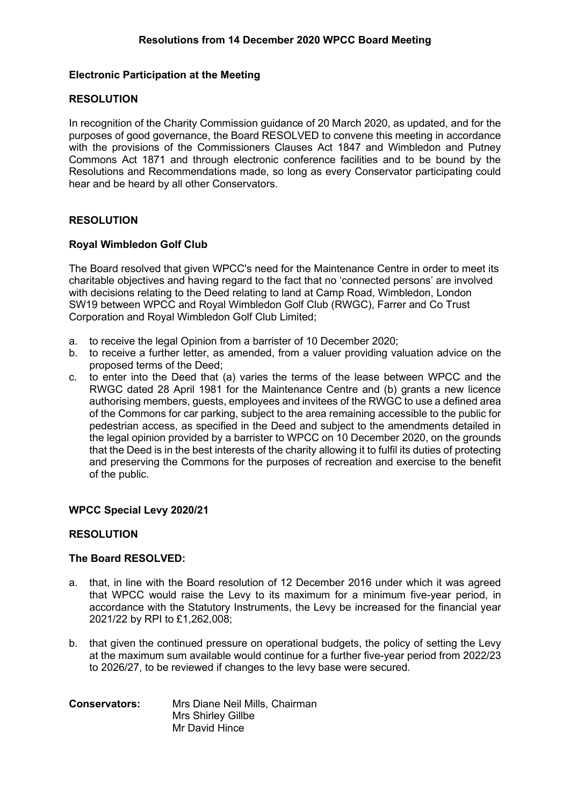## **Electronic Participation at the Meeting**

## **RESOLUTION**

In recognition of the Charity Commission guidance of 20 March 2020, as updated, and for the purposes of good governance, the Board RESOLVED to convene this meeting in accordance with the provisions of the Commissioners Clauses Act 1847 and Wimbledon and Putney Commons Act 1871 and through electronic conference facilities and to be bound by the Resolutions and Recommendations made, so long as every Conservator participating could hear and be heard by all other Conservators.

## **RESOLUTION**

## **Royal Wimbledon Golf Club**

The Board resolved that given WPCC's need for the Maintenance Centre in order to meet its charitable objectives and having regard to the fact that no 'connected persons' are involved with decisions relating to the Deed relating to land at Camp Road, Wimbledon, London SW19 between WPCC and Royal Wimbledon Golf Club (RWGC), Farrer and Co Trust Corporation and Royal Wimbledon Golf Club Limited;

- a. to receive the legal Opinion from a barrister of 10 December 2020;
- b. to receive a further letter, as amended, from a valuer providing valuation advice on the proposed terms of the Deed;
- c. to enter into the Deed that (a) varies the terms of the lease between WPCC and the RWGC dated 28 April 1981 for the Maintenance Centre and (b) grants a new licence authorising members, guests, employees and invitees of the RWGC to use a defined area of the Commons for car parking, subject to the area remaining accessible to the public for pedestrian access, as specified in the Deed and subject to the amendments detailed in the legal opinion provided by a barrister to WPCC on 10 December 2020, on the grounds that the Deed is in the best interests of the charity allowing it to fulfil its duties of protecting and preserving the Commons for the purposes of recreation and exercise to the benefit of the public.

# **WPCC Special Levy 2020/21**

#### **RESOLUTION**

#### **The Board RESOLVED:**

- a. that, in line with the Board resolution of 12 December 2016 under which it was agreed that WPCC would raise the Levy to its maximum for a minimum five-year period, in accordance with the Statutory Instruments, the Levy be increased for the financial year 2021/22 by RPI to £1,262,008;
- b. that given the continued pressure on operational budgets, the policy of setting the Levy at the maximum sum available would continue for a further five-year period from 2022/23 to 2026/27, to be reviewed if changes to the levy base were secured.

| <b>Conservators:</b> | Mrs Diane Neil Mills, Chairman |
|----------------------|--------------------------------|
|                      | Mrs Shirley Gillbe             |
|                      | Mr David Hince                 |